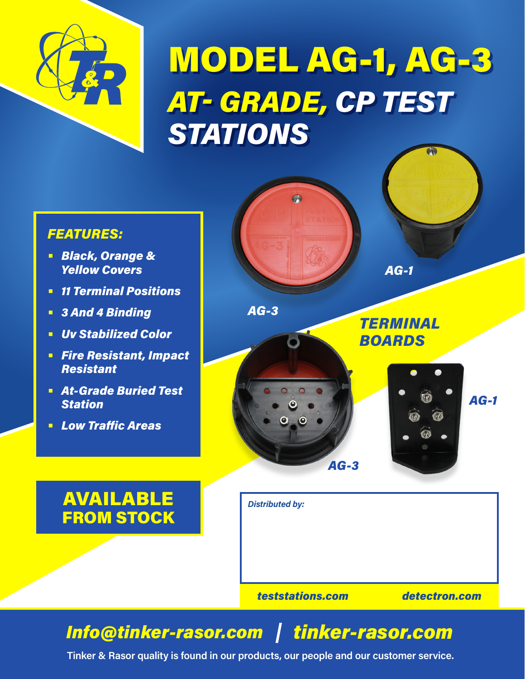

## MODEL AG-1, AG-3 *AT- GRADE, CP TEST STATIONS*

 $\sigma$ 

### *FEATURES:*

- **•** *Black, Orange & Yellow Covers*
- **•** *11 Terminal Positions*
- **•** *3 And 4 Binding*
- **•** *Uv Stabilized Color*
- **•** *Fire Resistant, Impact Resistant*
- **•** *At-Grade Buried Test Station*
- **•** *Low Traffic Areas*



*TERMINAL BOARDS*

*AG-1*

## AVAILABLE FROM STOCK



*AG-3*

## *Info@tinker-rasor.com tinker-rasor.com*

*AG-3*

**Tinker & Rasor quality is found in our products, our people and our customer service.**